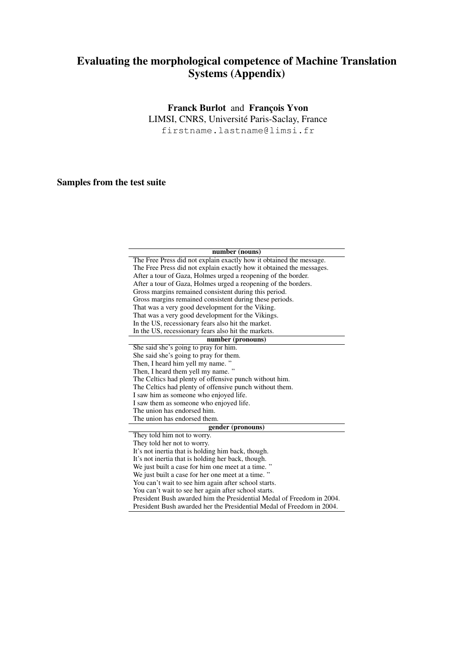## Evaluating the morphological competence of Machine Translation Systems (Appendix)

## Franck Burlot and François Yvon

LIMSI, CNRS, Universite Paris-Saclay, France ´

firstname.lastname@limsi.fr

## Samples from the test suite

| number (nouns)                                                        |
|-----------------------------------------------------------------------|
| The Free Press did not explain exactly how it obtained the message.   |
| The Free Press did not explain exactly how it obtained the messages.  |
| After a tour of Gaza, Holmes urged a reopening of the border.         |
| After a tour of Gaza, Holmes urged a reopening of the borders.        |
| Gross margins remained consistent during this period.                 |
| Gross margins remained consistent during these periods.               |
| That was a very good development for the Viking.                      |
| That was a very good development for the Vikings.                     |
| In the US, recessionary fears also hit the market.                    |
| In the US, recessionary fears also hit the markets.                   |
| number (pronouns)                                                     |
| She said she's going to pray for him.                                 |
| She said she's going to pray for them.                                |
| Then, I heard him yell my name."                                      |
| Then, I heard them yell my name."                                     |
| The Celtics had plenty of offensive punch without him.                |
| The Celtics had plenty of offensive punch without them.               |
| I saw him as someone who enjoyed life.                                |
| I saw them as someone who enjoyed life.                               |
| The union has endorsed him.                                           |
| The union has endorsed them.                                          |
| gender (pronouns)                                                     |
| They told him not to worry.                                           |
| They told her not to worry.                                           |
| It's not inertia that is holding him back, though.                    |
| It's not inertia that is holding her back, though.                    |
| We just built a case for him one meet at a time."                     |
| We just built a case for her one meet at a time."                     |
| You can't wait to see him again after school starts.                  |
| You can't wait to see her again after school starts.                  |
| President Bush awarded him the Presidential Medal of Freedom in 2004. |
| President Bush awarded her the Presidential Medal of Freedom in 2004. |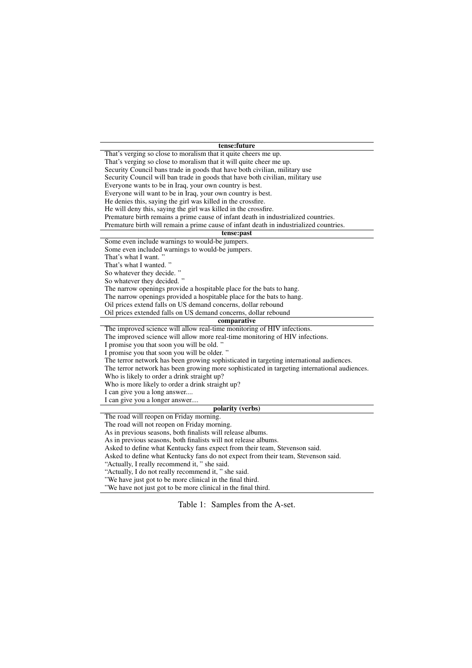| tense:future |  |
|--------------|--|
|--------------|--|

That's verging so close to moralism that it quite cheers me up. That's verging so close to moralism that it will quite cheer me up. Security Council bans trade in goods that have both civilian, military use Security Council will ban trade in goods that have both civilian, military use Everyone wants to be in Iraq, your own country is best. Everyone will want to be in Iraq, your own country is best. He denies this, saying the girl was killed in the crossfire. He will deny this, saying the girl was killed in the crossfire. Premature birth remains a prime cause of infant death in industrialized countries. Premature birth will remain a prime cause of infant death in industrialized countries. tense:past Some even include warnings to would-be jumpers. Some even included warnings to would-be jumpers. That's what I want." That's what I wanted. " So whatever they decide." So whatever they decided. " The narrow openings provide a hospitable place for the bats to hang. The narrow openings provided a hospitable place for the bats to hang. Oil prices extend falls on US demand concerns, dollar rebound Oil prices extended falls on US demand concerns, dollar rebound comparative The improved science will allow real-time monitoring of HIV infections. The improved science will allow more real-time monitoring of HIV infections. I promise you that soon you will be old. " I promise you that soon you will be older. " The terror network has been growing sophisticated in targeting international audiences. The terror network has been growing more sophisticated in targeting international audiences. Who is likely to order a drink straight up? Who is more likely to order a drink straight up? I can give you a long answer.... I can give you a longer answer.... polarity (verbs) The road will reopen on Friday morning. The road will not reopen on Friday morning. As in previous seasons, both finalists will release albums. As in previous seasons, both finalists will not release albums. Asked to define what Kentucky fans expect from their team, Stevenson said. Asked to define what Kentucky fans do not expect from their team, Stevenson said. "Actually, I really recommend it, " she said. "Actually, I do not really recommend it, " she said.

"We have just got to be more clinical in the final third.

"We have not just got to be more clinical in the final third.

Table 1: Samples from the A-set.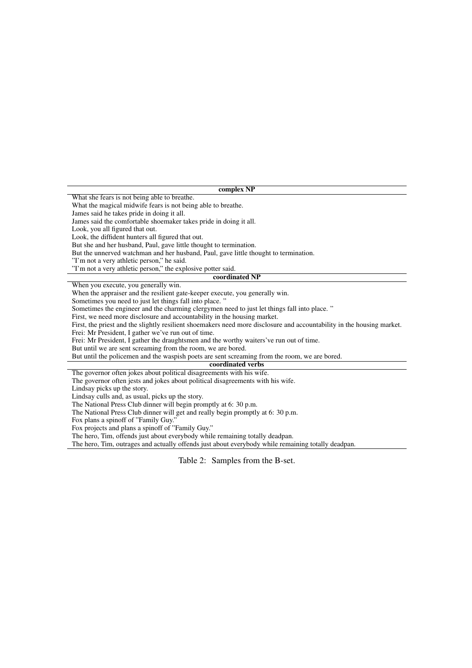complex NP What she fears is not being able to breathe. What the magical midwife fears is not being able to breathe. James said he takes pride in doing it all. James said the comfortable shoemaker takes pride in doing it all. Look, you all figured that out. Look, the diffident hunters all figured that out. But she and her husband, Paul, gave little thought to termination. But the unnerved watchman and her husband, Paul, gave little thought to termination. "I'm not a very athletic person," he said. "I'm not a very athletic person," the explosive potter said. coordinated NP When you execute, you generally win. When the appraiser and the resilient gate-keeper execute, you generally win. Sometimes you need to just let things fall into place. " Sometimes the engineer and the charming clergymen need to just let things fall into place. " First, we need more disclosure and accountability in the housing market. First, the priest and the slightly resilient shoemakers need more disclosure and accountability in the housing market. Frei: Mr President, I gather we've run out of time. Frei: Mr President, I gather the draughtsmen and the worthy waiters've run out of time. But until we are sent screaming from the room, we are bored. But until the policemen and the waspish poets are sent screaming from the room, we are bored. coordinated verbs The governor often jokes about political disagreements with his wife. The governor often jests and jokes about political disagreements with his wife. Lindsay picks up the story. Lindsay culls and, as usual, picks up the story. The National Press Club dinner will begin promptly at 6: 30 p.m. The National Press Club dinner will get and really begin promptly at 6: 30 p.m.

Fox plans a spinoff of "Family Guy."

Fox projects and plans a spinoff of "Family Guy."

The hero, Tim, offends just about everybody while remaining totally deadpan.

The hero, Tim, outrages and actually offends just about everybody while remaining totally deadpan.

Table 2: Samples from the B-set.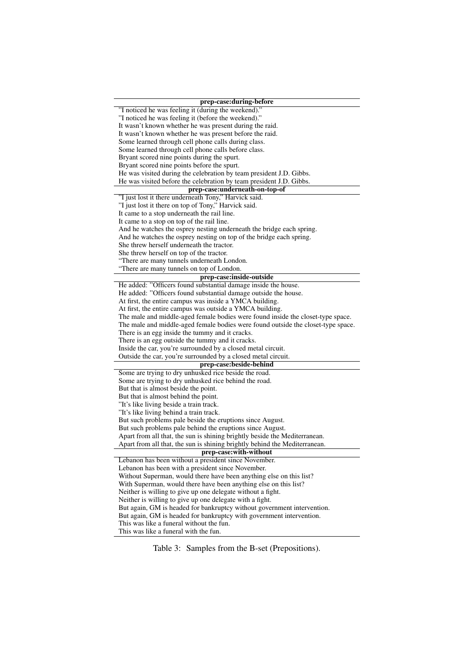| prep-case:during-before                                                          |  |  |
|----------------------------------------------------------------------------------|--|--|
| "I noticed he was feeling it (during the weekend)."                              |  |  |
| "I noticed he was feeling it (before the weekend)."                              |  |  |
| It wasn't known whether he was present during the raid.                          |  |  |
| It wasn't known whether he was present before the raid.                          |  |  |
| Some learned through cell phone calls during class.                              |  |  |
| Some learned through cell phone calls before class.                              |  |  |
| Bryant scored nine points during the spurt.                                      |  |  |
| Bryant scored nine points before the spurt.                                      |  |  |
| He was visited during the celebration by team president J.D. Gibbs.              |  |  |
| He was visited before the celebration by team president J.D. Gibbs.              |  |  |
| prep-case:underneath-on-top-of                                                   |  |  |
| "I just lost it there underneath Tony," Harvick said.                            |  |  |
| "I just lost it there on top of Tony," Harvick said.                             |  |  |
| It came to a stop underneath the rail line.                                      |  |  |
| It came to a stop on top of the rail line.                                       |  |  |
| And he watches the osprey nesting underneath the bridge each spring.             |  |  |
| And he watches the osprey nesting on top of the bridge each spring.              |  |  |
| She threw herself underneath the tractor.                                        |  |  |
| She threw herself on top of the tractor.                                         |  |  |
| "There are many tunnels underneath London.                                       |  |  |
| "There are many tunnels on top of London.                                        |  |  |
| prep-case:inside-outside                                                         |  |  |
| He added: "Officers found substantial damage inside the house.                   |  |  |
| He added: "Officers found substantial damage outside the house.                  |  |  |
| At first, the entire campus was inside a YMCA building.                          |  |  |
| At first, the entire campus was outside a YMCA building.                         |  |  |
| The male and middle-aged female bodies were found inside the closet-type space.  |  |  |
| The male and middle-aged female bodies were found outside the closet-type space. |  |  |
| There is an egg inside the tummy and it cracks.                                  |  |  |
| There is an egg outside the tummy and it cracks.                                 |  |  |
| Inside the car, you're surrounded by a closed metal circuit.                     |  |  |
| Outside the car, you're surrounded by a closed metal circuit.                    |  |  |
| prep-case:beside-behind                                                          |  |  |
| Some are trying to dry unhusked rice beside the road.                            |  |  |
| Some are trying to dry unhusked rice behind the road.                            |  |  |
| But that is almost beside the point.                                             |  |  |
| But that is almost behind the point.                                             |  |  |
| "It's like living beside a train track.                                          |  |  |
| "It's like living behind a train track.                                          |  |  |
| But such problems pale beside the eruptions since August.                        |  |  |
| But such problems pale behind the eruptions since August.                        |  |  |
| Apart from all that, the sun is shining brightly beside the Mediterranean.       |  |  |
| Apart from all that, the sun is shining brightly behind the Mediterranean.       |  |  |
| prep-case:with-without                                                           |  |  |
| Lebanon has been without a president since November.                             |  |  |
| Lebanon has been with a president since November.                                |  |  |
| Without Superman, would there have been anything else on this list?              |  |  |
| With Superman, would there have been anything else on this list?                 |  |  |
| Neither is willing to give up one delegate without a fight.                      |  |  |
| Neither is willing to give up one delegate with a fight.                         |  |  |
| But again, GM is headed for bankruptcy without government intervention.          |  |  |
| But again, GM is headed for bankruptcy with government intervention.             |  |  |
| This was like a funeral without the fun.                                         |  |  |
| This was like a funeral with the fun.                                            |  |  |

Table 3: Samples from the B-set (Prepositions).